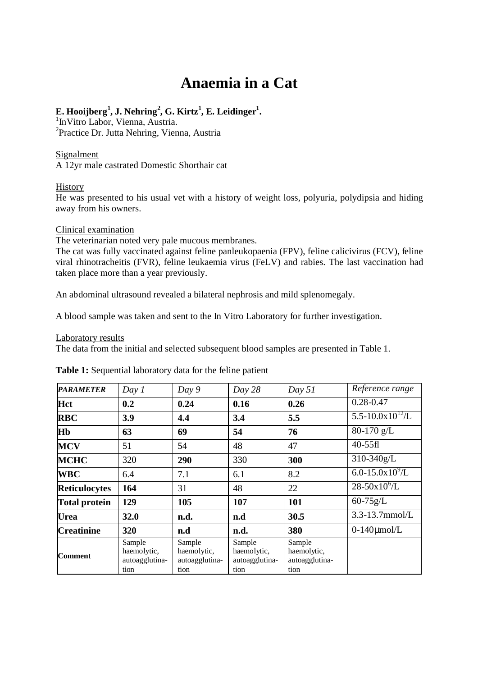# **Anaemia in a Cat**

## $\mathbf{E}.$  Hooijberg<sup>1</sup>, J. Nehring<sup>2</sup>, G. Kirtz<sup>1</sup>, E. Leidinger<sup>1</sup>.

<sup>1</sup>InVitro Labor, Vienna, Austria. <sup>2</sup>Practice Dr. Jutta Nehring, Vienna, Austria

## Signalment

A 12yr male castrated Domestic Shorthair cat

### **History**

He was presented to his usual vet with a history of weight loss, polyuria, polydipsia and hiding away from his owners.

#### Clinical examination

The veterinarian noted very pale mucous membranes.

The cat was fully vaccinated against feline panleukopaenia (FPV), feline calicivirus (FCV), feline viral rhinotracheitis (FVR), feline leukaemia virus (FeLV) and rabies. The last vaccination had taken place more than a year previously.

An abdominal ultrasound revealed a bilateral nephrosis and mild splenomegaly.

A blood sample was taken and sent to the In Vitro Laboratory for further investigation.

#### Laboratory results

The data from the initial and selected subsequent blood samples are presented in Table 1.

| <b>PARAMETER</b>     | Day 1                                           | Day 9                                           | Day 28                                          | Day 51                                          | Reference range                |
|----------------------|-------------------------------------------------|-------------------------------------------------|-------------------------------------------------|-------------------------------------------------|--------------------------------|
| Hct                  | 0.2                                             | 0.24                                            | 0.16                                            | 0.26                                            | $0.28 - 0.47$                  |
| <b>RBC</b>           | 3.9                                             | 4.4                                             | 3.4                                             | 5.5                                             | $5.5 - 10.0 \times 10^{12}$ /L |
| <b>H<sub>b</sub></b> | 63                                              | 69                                              | 54                                              | 76                                              | 80-170 g/L                     |
| <b>MCV</b>           | 51                                              | 54                                              | 48                                              | 47                                              | $40-55$ fl                     |
| <b>MCHC</b>          | 320                                             | 290                                             | 330                                             | 300                                             | 310-340g/L                     |
| <b>WBC</b>           | 6.4                                             | 7.1                                             | 6.1                                             | 8.2                                             | $6.0 - 15.0 \times 10^{9}$ /L  |
| <b>Reticulocytes</b> | 164                                             | 31                                              | 48                                              | 22                                              | $28-50x10^{6}/L$               |
| <b>Total protein</b> | 129                                             | 105                                             | 107                                             | 101                                             | $60 - 75g/L$                   |
| Urea                 | 32.0                                            | n.d.                                            | n.d                                             | 30.5                                            | 3.3-13.7mmol/L                 |
| <b>Creatinine</b>    | 320                                             | n.d                                             | n.d.                                            | 380                                             | $0-140$ µmol/L                 |
| <b>Comment</b>       | Sample<br>haemolytic,<br>autoagglutina-<br>tion | Sample<br>haemolytic,<br>autoagglutina-<br>tion | Sample<br>haemolytic,<br>autoagglutina-<br>tion | Sample<br>haemolytic,<br>autoagglutina-<br>tion |                                |

**Table 1:** Sequential laboratory data for the feline patient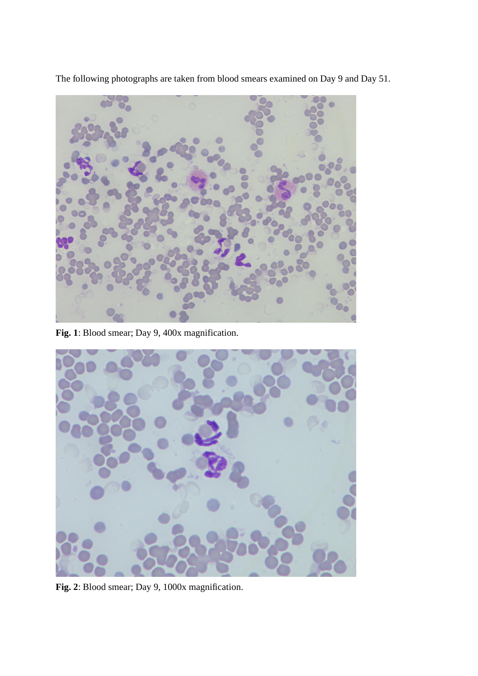The following photographs are taken from blood smears examined on Day 9 and Day 51.



**Fig. 1**: Blood smear; Day 9, 400x magnification.



**Fig. 2**: Blood smear; Day 9, 1000x magnification.